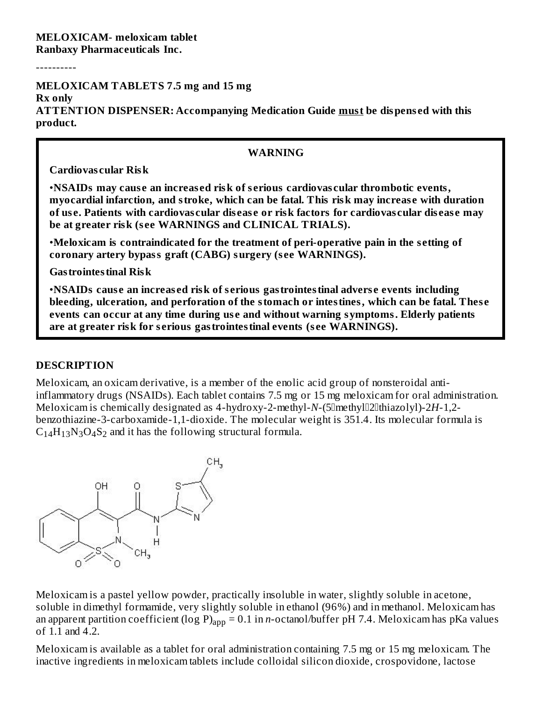----------

#### **MELOXICAM TABLETS 7.5 mg and 15 mg**

**Rx only ATTENTION DISPENSER: Accompanying Medication Guide must be dispens ed with this product.**

#### **WARNING**

**Cardiovas cular Risk**

•**NSAIDs may caus e an increas ed risk of s erious cardiovas cular thrombotic events, myocardial infarction, and stroke, which can be fatal. This risk may increas e with duration** of use. Patients with cardiovas cular disease or risk factors for cardiovas cular disease may **be at greater risk (s ee WARNINGS and CLINICAL TRIALS).**

•**Meloxicam is contraindicated for the treatment of peri-operative pain in the s etting of coronary artery bypass graft (CABG) surgery (s ee WARNINGS).**

**Gastrointestinal Risk**

•**NSAIDs caus e an increas ed risk of s erious gastrointestinal advers e events including bleeding, ulceration, and perforation of the stomach or intestines, which can be fatal. Thes e events can occur at any time during us e and without warning symptoms. Elderly patients are at greater risk for s erious gastrointestinal events (s ee WARNINGS).**

#### **DESCRIPTION**

Meloxicam, an oxicam derivative, is a member of the enolic acid group of nonsteroidal antiinflammatory drugs (NSAIDs). Each tablet contains 7.5 mg or 15 mg meloxicam for oral administration. Meloxicam is chemically designated as 4-hydroxy-2-methyl-*N*-(5methyl2thiazolyl)-2*H*-1,2 benzothiazine-3-carboxamide-1,1-dioxide. The molecular weight is 351.4. Its molecular formula is  $C_{14}H_{13}N_3O_4S_2$  and it has the following structural formula.



Meloxicam is a pastel yellow powder, practically insoluble in water, slightly soluble in acetone, soluble in dimethyl formamide, very slightly soluble in ethanol (96%) and in methanol. Meloxicam has an apparent partition coefficient (log P)<sub>app</sub> = 0.1 in *n*-octanol/buffer pH 7.4. Meloxicam has pKa values of 1.1 and 4.2.

Meloxicam is available as a tablet for oral administration containing 7.5 mg or 15 mg meloxicam. The inactive ingredients in meloxicam tablets include colloidal silicon dioxide, crospovidone, lactose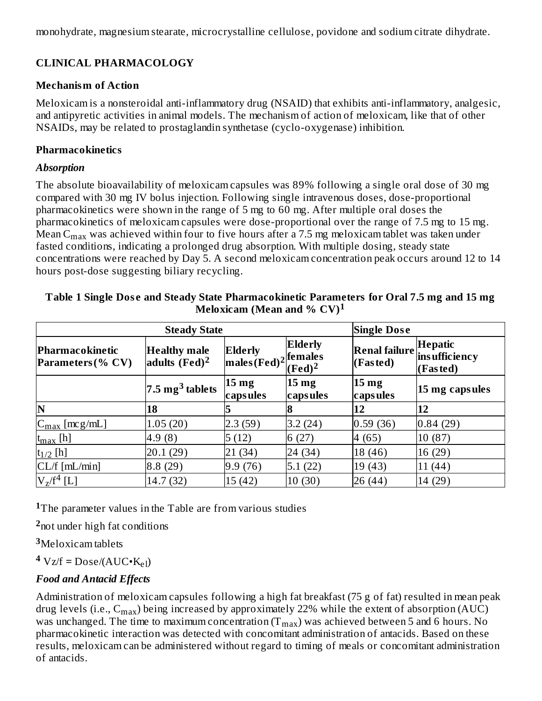monohydrate, magnesium stearate, microcrystalline cellulose, povidone and sodium citrate dihydrate.

### **CLINICAL PHARMACOLOGY**

#### **Mechanism of Action**

Meloxicam is a nonsteroidal anti-inflammatory drug (NSAID) that exhibits anti-inflammatory, analgesic, and antipyretic activities in animal models. The mechanism of action of meloxicam, like that of other NSAIDs, may be related to prostaglandin synthetase (cyclo-oxygenase) inhibition.

#### **Pharmacokinetics**

#### *Absorption*

The absolute bioavailability of meloxicam capsules was 89% following a single oral dose of 30 mg compared with 30 mg IV bolus injection. Following single intravenous doses, dose-proportional pharmacokinetics were shown in the range of 5 mg to 60 mg. After multiple oral doses the pharmacokinetics of meloxicam capsules were dose-proportional over the range of 7.5 mg to 15 mg. Mean C $_{\rm max}$  was achieved within four to five hours after a 7.5 mg meloxicam tablet was taken under fasted conditions, indicating a prolonged drug absorption. With multiple dosing, steady state concentrations were reached by Day 5. A second meloxicam concentration peak occurs around 12 to 14 hours post-dose suggesting biliary recycling.

|                                      | <b>Single Dose</b>                      |                                          |                                      |                              |                                                           |  |
|--------------------------------------|-----------------------------------------|------------------------------------------|--------------------------------------|------------------------------|-----------------------------------------------------------|--|
| Pharmacokinetic<br>Parameters (% CV) | <b>Healthy male</b><br>adults $(Fed)^2$ | <b>Elderly</b><br>$ males(Fed)2 females$ | <b>Elderly</b><br>(Fed) <sup>2</sup> | (Fas ted)                    | Renal failure Hepatic<br>Exated\insufficiency<br>(Fasted) |  |
|                                      | $7.5 \text{ mg}^3$ tablets              | 15 <sub>mg</sub><br>capsules             | $15 \text{ mg}$<br>capsules          | 15 <sub>mg</sub><br>capsules | 15 mg capsules                                            |  |
| N                                    | 18                                      |                                          |                                      | 12                           | 12                                                        |  |
| $C_{\text{max}}$ [mcg/mL]            | 1.05(20)                                | 2.3(59)                                  | 3.2(24)                              | 0.59(36)                     | 0.84(29)                                                  |  |
| t <sub>max</sub> [h]                 | 4.9(8)                                  | 5(12)                                    | 6(27)                                | 4(65)                        | 10 (87)                                                   |  |
| $t_{1/2}$ [h]                        | 20.1 (29)                               | 21 (34)                                  | 24 (34)                              | 18 (46)                      | 16 (29)                                                   |  |
| $CL/f$ [mL/min]                      | 8.8(29)                                 | 9.9(76)                                  | 5.1(22)                              | 19 (43)                      | 11 (44)                                                   |  |
| $\rm V_{z}/f^{4}$ [L]                | 14.7 (32)                               | 15(42)                                   | 10(30)                               | 26 (44)                      | 14 (29)                                                   |  |

#### **Table 1 Single Dos e and Steady State Pharmacokinetic Parameters for Oral 7.5 mg and 15 mg Meloxicam (Mean and % CV) 1**

The parameter values in the Table are from various studies **1**

<sup>2</sup> not under high fat conditions

Meloxicam tablets **3**

 $4 \text{ Vz/f} = \text{Dose}/(\text{AUC} \cdot \text{K}_{\text{el}})$ 

# *Food and Antacid Effects*

Administration of meloxicam capsules following a high fat breakfast (75 g of fat) resulted in mean peak drug levels (i.e.,  $\rm{C_{max}}$ ) being increased by approximately 22% while the extent of absorption (AUC) was unchanged. The time to maximum concentration (T $_{\rm max}$ ) was achieved between 5 and 6 hours. No pharmacokinetic interaction was detected with concomitant administration of antacids. Based on these results, meloxicam can be administered without regard to timing of meals or concomitant administration of antacids.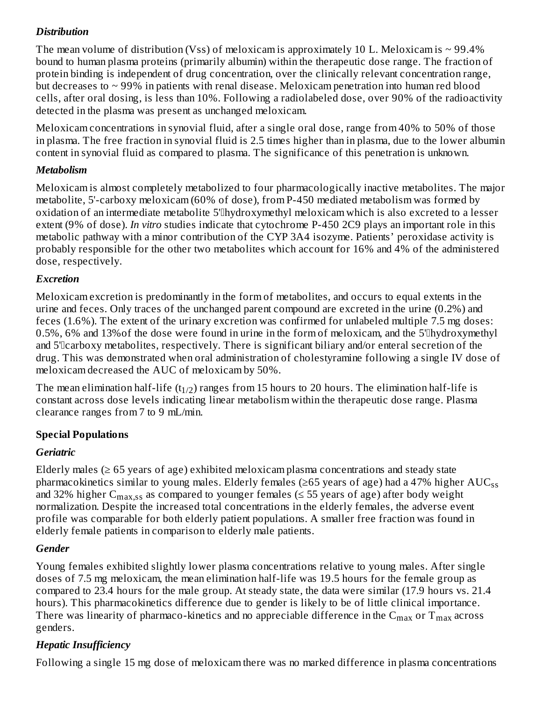### *Distribution*

The mean volume of distribution (Vss) of meloxicam is approximately 10 L. Meloxicam is  $\sim$  99.4% bound to human plasma proteins (primarily albumin) within the therapeutic dose range. The fraction of protein binding is independent of drug concentration, over the clinically relevant concentration range, but decreases to ~ 99% in patients with renal disease. Meloxicam penetration into human red blood cells, after oral dosing, is less than 10%. Following a radiolabeled dose, over 90% of the radioactivity detected in the plasma was present as unchanged meloxicam.

Meloxicam concentrations in synovial fluid, after a single oral dose, range from 40% to 50% of those in plasma. The free fraction in synovial fluid is 2.5 times higher than in plasma, due to the lower albumin content in synovial fluid as compared to plasma. The significance of this penetration is unknown.

### *Metabolism*

Meloxicam is almost completely metabolized to four pharmacologically inactive metabolites. The major metabolite, 5'-carboxy meloxicam (60% of dose), from P-450 mediated metabolism was formed by oxidation of an intermediate metabolite 5'llhydroxymethyl meloxicam which is also excreted to a lesser extent (9% of dose). *In vitro* studies indicate that cytochrome P-450 2C9 plays an important role in this metabolic pathway with a minor contribution of the CYP 3A4 isozyme. Patients' peroxidase activity is probably responsible for the other two metabolites which account for 16% and 4% of the administered dose, respectively.

### *Excretion*

Meloxicam excretion is predominantly in the form of metabolites, and occurs to equal extents in the urine and feces. Only traces of the unchanged parent compound are excreted in the urine (0.2%) and feces (1.6%). The extent of the urinary excretion was confirmed for unlabeled multiple 7.5 mg doses: 0.5%, 6% and 13% of the dose were found in urine in the form of meloxicam, and the 5'llhydroxymethyl and 5'lcarboxy metabolites, respectively. There is significant biliary and/or enteral secretion of the drug. This was demonstrated when oral administration of cholestyramine following a single IV dose of meloxicam decreased the AUC of meloxicam by 50%.

The mean elimination half-life  $(t_{1/2})$  ranges from 15 hours to 20 hours. The elimination half-life is constant across dose levels indicating linear metabolism within the therapeutic dose range. Plasma clearance ranges from 7 to 9 mL/min.

# **Special Populations**

### *Geriatric*

Elderly males ( $\geq 65$  years of age) exhibited meloxicam plasma concentrations and steady state pharmacokinetics similar to young males. Elderly females (≥65 years of age) had a 47% higher  $\mathrm{AUC}_{\mathrm{ss}}$ and 32% higher  $\rm{C_{max,ss}}$  as compared to younger females ( $\leq$  55 years of age) after body weight normalization. Despite the increased total concentrations in the elderly females, the adverse event profile was comparable for both elderly patient populations. A smaller free fraction was found in elderly female patients in comparison to elderly male patients.

### *Gender*

Young females exhibited slightly lower plasma concentrations relative to young males. After single doses of 7.5 mg meloxicam, the mean elimination half-life was 19.5 hours for the female group as compared to 23.4 hours for the male group. At steady state, the data were similar (17.9 hours vs. 21.4 hours). This pharmacokinetics difference due to gender is likely to be of little clinical importance. There was linearity of pharmaco-kinetics and no appreciable difference in the  $\rm{C_{max}}$  or  $\rm{T_{max}}$  across genders.

# *Hepatic Insufficiency*

Following a single 15 mg dose of meloxicam there was no marked difference in plasma concentrations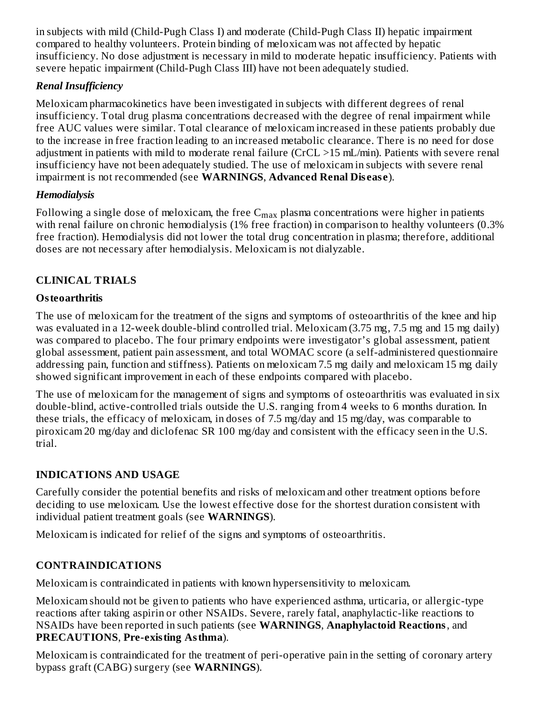in subjects with mild (Child-Pugh Class I) and moderate (Child-Pugh Class II) hepatic impairment compared to healthy volunteers. Protein binding of meloxicam was not affected by hepatic insufficiency. No dose adjustment is necessary in mild to moderate hepatic insufficiency. Patients with severe hepatic impairment (Child-Pugh Class III) have not been adequately studied.

### *Renal Insufficiency*

Meloxicam pharmacokinetics have been investigated in subjects with different degrees of renal insufficiency. Total drug plasma concentrations decreased with the degree of renal impairment while free AUC values were similar. Total clearance of meloxicam increased in these patients probably due to the increase in free fraction leading to an increased metabolic clearance. There is no need for dose adjustment in patients with mild to moderate renal failure (CrCL >15 mL/min). Patients with severe renal insufficiency have not been adequately studied. The use of meloxicam in subjects with severe renal impairment is not recommended (see **WARNINGS**, **Advanced Renal Dis eas e**).

### *Hemodialysis*

Following a single dose of meloxicam, the free  $\mathsf{C}_{\max}$  plasma concentrations were higher in patients with renal failure on chronic hemodialysis (1% free fraction) in comparison to healthy volunteers (0.3% free fraction). Hemodialysis did not lower the total drug concentration in plasma; therefore, additional doses are not necessary after hemodialysis. Meloxicam is not dialyzable.

### **CLINICAL TRIALS**

### **Osteoarthritis**

The use of meloxicam for the treatment of the signs and symptoms of osteoarthritis of the knee and hip was evaluated in a 12-week double-blind controlled trial. Meloxicam (3.75 mg, 7.5 mg and 15 mg daily) was compared to placebo. The four primary endpoints were investigator's global assessment, patient global assessment, patient pain assessment, and total WOMAC score (a self-administered questionnaire addressing pain, function and stiffness). Patients on meloxicam 7.5 mg daily and meloxicam 15 mg daily showed significant improvement in each of these endpoints compared with placebo.

The use of meloxicam for the management of signs and symptoms of osteoarthritis was evaluated in six double-blind, active-controlled trials outside the U.S. ranging from 4 weeks to 6 months duration. In these trials, the efficacy of meloxicam, in doses of 7.5 mg/day and 15 mg/day, was comparable to piroxicam 20 mg/day and diclofenac SR 100 mg/day and consistent with the efficacy seen in the U.S. trial.

### **INDICATIONS AND USAGE**

Carefully consider the potential benefits and risks of meloxicam and other treatment options before deciding to use meloxicam. Use the lowest effective dose for the shortest duration consistent with individual patient treatment goals (see **WARNINGS**).

Meloxicam is indicated for relief of the signs and symptoms of osteoarthritis.

### **CONTRAINDICATIONS**

Meloxicam is contraindicated in patients with known hypersensitivity to meloxicam.

Meloxicam should not be given to patients who have experienced asthma, urticaria, or allergic-type reactions after taking aspirin or other NSAIDs. Severe, rarely fatal, anaphylactic-like reactions to NSAIDs have been reported in such patients (see **WARNINGS**, **Anaphylactoid Reactions**, and **PRECAUTIONS**, **Pre-existing Asthma**).

Meloxicam is contraindicated for the treatment of peri-operative pain in the setting of coronary artery bypass graft (CABG) surgery (see **WARNINGS**).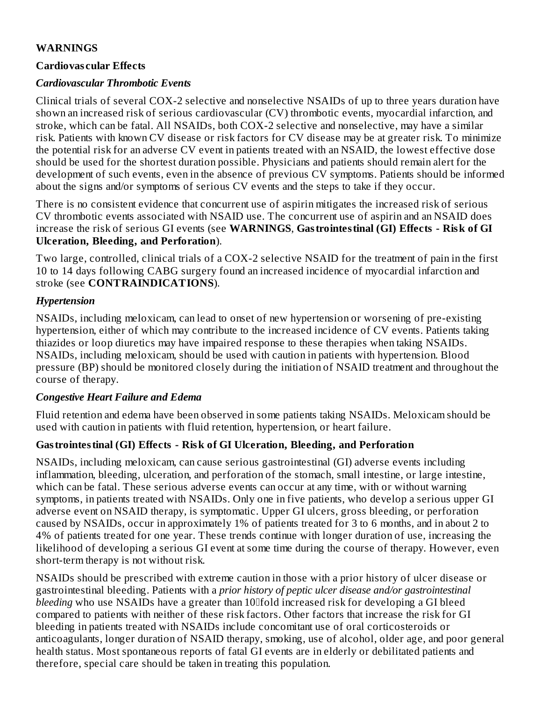#### **WARNINGS**

#### **Cardiovas cular Effects**

#### *Cardiovascular Thrombotic Events*

Clinical trials of several COX-2 selective and nonselective NSAIDs of up to three years duration have shown an increased risk of serious cardiovascular (CV) thrombotic events, myocardial infarction, and stroke, which can be fatal. All NSAIDs, both COX-2 selective and nonselective, may have a similar risk. Patients with known CV disease or risk factors for CV disease may be at greater risk. To minimize the potential risk for an adverse CV event in patients treated with an NSAID, the lowest effective dose should be used for the shortest duration possible. Physicians and patients should remain alert for the development of such events, even in the absence of previous CV symptoms. Patients should be informed about the signs and/or symptoms of serious CV events and the steps to take if they occur.

There is no consistent evidence that concurrent use of aspirin mitigates the increased risk of serious CV thrombotic events associated with NSAID use. The concurrent use of aspirin and an NSAID does increase the risk of serious GI events (see **WARNINGS**, **Gastrointestinal (GI) Effects - Risk of GI Ulceration, Bleeding, and Perforation**).

Two large, controlled, clinical trials of a COX-2 selective NSAID for the treatment of pain in the first 10 to 14 days following CABG surgery found an increased incidence of myocardial infarction and stroke (see **CONTRAINDICATIONS**).

#### *Hypertension*

NSAIDs, including meloxicam, can lead to onset of new hypertension or worsening of pre-existing hypertension, either of which may contribute to the increased incidence of CV events. Patients taking thiazides or loop diuretics may have impaired response to these therapies when taking NSAIDs. NSAIDs, including meloxicam, should be used with caution in patients with hypertension. Blood pressure (BP) should be monitored closely during the initiation of NSAID treatment and throughout the course of therapy.

#### *Congestive Heart Failure and Edema*

Fluid retention and edema have been observed in some patients taking NSAIDs. Meloxicam should be used with caution in patients with fluid retention, hypertension, or heart failure.

#### **Gastrointestinal (GI) Effects - Risk of GI Ulceration, Bleeding, and Perforation**

NSAIDs, including meloxicam, can cause serious gastrointestinal (GI) adverse events including inflammation, bleeding, ulceration, and perforation of the stomach, small intestine, or large intestine, which can be fatal. These serious adverse events can occur at any time, with or without warning symptoms, in patients treated with NSAIDs. Only one in five patients, who develop a serious upper GI adverse event on NSAID therapy, is symptomatic. Upper GI ulcers, gross bleeding, or perforation caused by NSAIDs, occur in approximately 1% of patients treated for 3 to 6 months, and in about 2 to 4% of patients treated for one year. These trends continue with longer duration of use, increasing the likelihood of developing a serious GI event at some time during the course of therapy*.* However, even short-term therapy is not without risk.

NSAIDs should be prescribed with extreme caution in those with a prior history of ulcer disease or gastrointestinal bleeding. Patients with a *prior history of peptic ulcer disease and/or gastrointestinal bleeding* who use NSAIDs have a greater than 10<sup>[</sup>fold increased risk for developing a GI bleed compared to patients with neither of these risk factors. Other factors that increase the risk for GI bleeding in patients treated with NSAIDs include concomitant use of oral corticosteroids or anticoagulants, longer duration of NSAID therapy, smoking, use of alcohol, older age, and poor general health status. Most spontaneous reports of fatal GI events are in elderly or debilitated patients and therefore, special care should be taken in treating this population.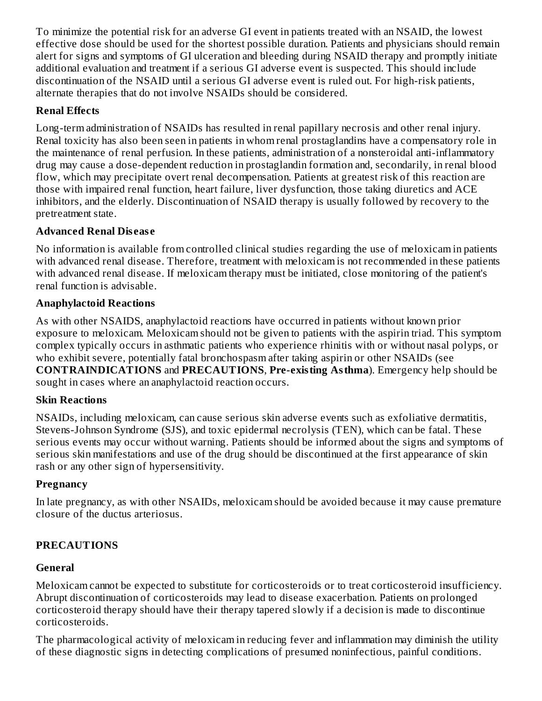To minimize the potential risk for an adverse GI event in patients treated with an NSAID, the lowest effective dose should be used for the shortest possible duration. Patients and physicians should remain alert for signs and symptoms of GI ulceration and bleeding during NSAID therapy and promptly initiate additional evaluation and treatment if a serious GI adverse event is suspected. This should include discontinuation of the NSAID until a serious GI adverse event is ruled out. For high-risk patients, alternate therapies that do not involve NSAIDs should be considered.

### **Renal Effects**

Long-term administration of NSAIDs has resulted in renal papillary necrosis and other renal injury. Renal toxicity has also been seen in patients in whom renal prostaglandins have a compensatory role in the maintenance of renal perfusion. In these patients, administration of a nonsteroidal anti-inflammatory drug may cause a dose-dependent reduction in prostaglandin formation and, secondarily, in renal blood flow, which may precipitate overt renal decompensation. Patients at greatest risk of this reaction are those with impaired renal function, heart failure, liver dysfunction, those taking diuretics and ACE inhibitors, and the elderly. Discontinuation of NSAID therapy is usually followed by recovery to the pretreatment state.

### **Advanced Renal Dis eas e**

No information is available from controlled clinical studies regarding the use of meloxicam in patients with advanced renal disease. Therefore, treatment with meloxicam is not recommended in these patients with advanced renal disease. If meloxicam therapy must be initiated, close monitoring of the patient's renal function is advisable.

### **Anaphylactoid Reactions**

As with other NSAIDS, anaphylactoid reactions have occurred in patients without known prior exposure to meloxicam. Meloxicam should not be given to patients with the aspirin triad. This symptom complex typically occurs in asthmatic patients who experience rhinitis with or without nasal polyps, or who exhibit severe, potentially fatal bronchospasm after taking aspirin or other NSAIDs (see **CONTRAINDICATIONS** and **PRECAUTIONS**, **Pre-existing Asthma**). Emergency help should be sought in cases where an anaphylactoid reaction occurs.

### **Skin Reactions**

NSAIDs, including meloxicam, can cause serious skin adverse events such as exfoliative dermatitis, Stevens-Johnson Syndrome (SJS), and toxic epidermal necrolysis (TEN), which can be fatal. These serious events may occur without warning. Patients should be informed about the signs and symptoms of serious skin manifestations and use of the drug should be discontinued at the first appearance of skin rash or any other sign of hypersensitivity.

# **Pregnancy**

In late pregnancy, as with other NSAIDs, meloxicam should be avoided because it may cause premature closure of the ductus arteriosus.

# **PRECAUTIONS**

### **General**

Meloxicam cannot be expected to substitute for corticosteroids or to treat corticosteroid insufficiency. Abrupt discontinuation of corticosteroids may lead to disease exacerbation. Patients on prolonged corticosteroid therapy should have their therapy tapered slowly if a decision is made to discontinue corticosteroids.

The pharmacological activity of meloxicam in reducing fever and inflammation may diminish the utility of these diagnostic signs in detecting complications of presumed noninfectious, painful conditions.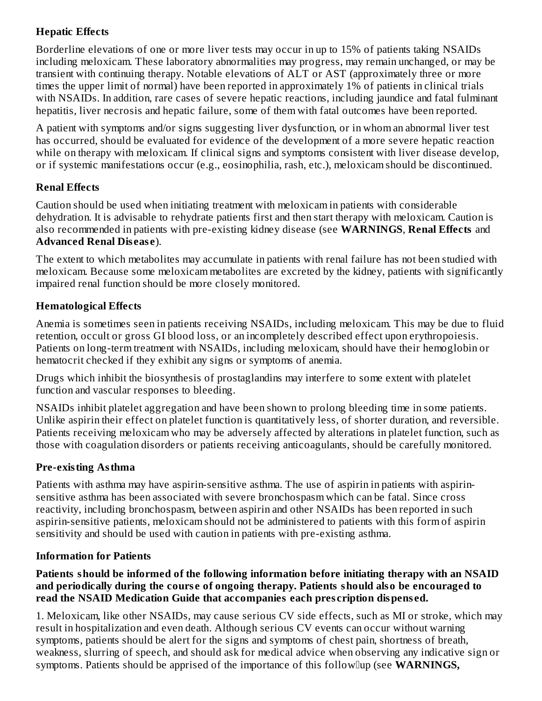### **Hepatic Effects**

Borderline elevations of one or more liver tests may occur in up to 15% of patients taking NSAIDs including meloxicam. These laboratory abnormalities may progress, may remain unchanged, or may be transient with continuing therapy. Notable elevations of ALT or AST (approximately three or more times the upper limit of normal) have been reported in approximately 1% of patients in clinical trials with NSAIDs. In addition, rare cases of severe hepatic reactions, including jaundice and fatal fulminant hepatitis, liver necrosis and hepatic failure, some of them with fatal outcomes have been reported.

A patient with symptoms and/or signs suggesting liver dysfunction, or in whom an abnormal liver test has occurred, should be evaluated for evidence of the development of a more severe hepatic reaction while on therapy with meloxicam. If clinical signs and symptoms consistent with liver disease develop, or if systemic manifestations occur (e.g., eosinophilia, rash, etc.), meloxicam should be discontinued.

### **Renal Effects**

Caution should be used when initiating treatment with meloxicam in patients with considerable dehydration. It is advisable to rehydrate patients first and then start therapy with meloxicam. Caution is also recommended in patients with pre-existing kidney disease (see **WARNINGS**, **Renal Effects** and **Advanced Renal Dis eas e**).

The extent to which metabolites may accumulate in patients with renal failure has not been studied with meloxicam. Because some meloxicam metabolites are excreted by the kidney, patients with significantly impaired renal function should be more closely monitored.

### **Hematological Effects**

Anemia is sometimes seen in patients receiving NSAIDs, including meloxicam. This may be due to fluid retention, occult or gross GI blood loss, or an incompletely described effect upon erythropoiesis. Patients on long-term treatment with NSAIDs, including meloxicam, should have their hemoglobin or hematocrit checked if they exhibit any signs or symptoms of anemia.

Drugs which inhibit the biosynthesis of prostaglandins may interfere to some extent with platelet function and vascular responses to bleeding.

NSAIDs inhibit platelet aggregation and have been shown to prolong bleeding time in some patients. Unlike aspirin their effect on platelet function is quantitatively less, of shorter duration, and reversible. Patients receiving meloxicam who may be adversely affected by alterations in platelet function, such as those with coagulation disorders or patients receiving anticoagulants, should be carefully monitored.

### **Pre-existing Asthma**

Patients with asthma may have aspirin-sensitive asthma. The use of aspirin in patients with aspirinsensitive asthma has been associated with severe bronchospasm which can be fatal. Since cross reactivity, including bronchospasm, between aspirin and other NSAIDs has been reported in such aspirin-sensitive patients, meloxicam should not be administered to patients with this form of aspirin sensitivity and should be used with caution in patients with pre-existing asthma.

### **Information for Patients**

#### **Patients should be informed of the following information before initiating therapy with an NSAID and periodically during the cours e of ongoing therapy. Patients should also be encouraged to read the NSAID Medication Guide that accompanies each pres cription dispens ed.**

1. Meloxicam, like other NSAIDs, may cause serious CV side effects, such as MI or stroke, which may result in hospitalization and even death. Although serious CV events can occur without warning symptoms, patients should be alert for the signs and symptoms of chest pain, shortness of breath, weakness, slurring of speech, and should ask for medical advice when observing any indicative sign or symptoms. Patients should be apprised of the importance of this followlap (see **WARNINGS**,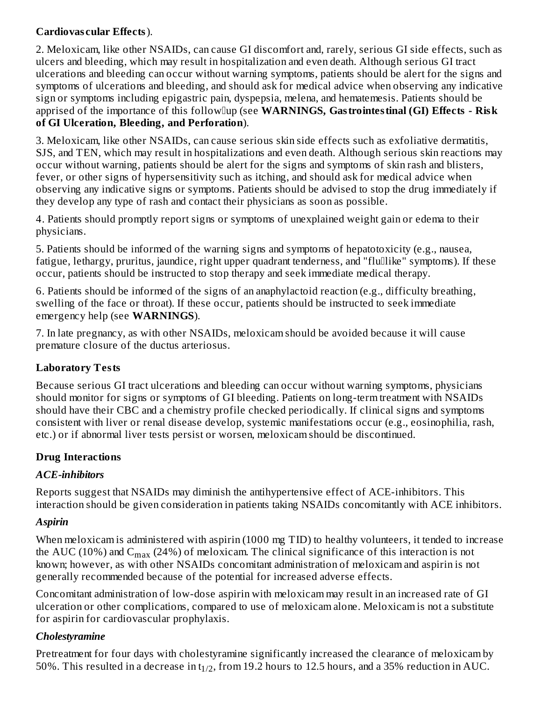#### **Cardiovas cular Effects**).

2. Meloxicam, like other NSAIDs, can cause GI discomfort and, rarely, serious GI side effects, such as ulcers and bleeding, which may result in hospitalization and even death. Although serious GI tract ulcerations and bleeding can occur without warning symptoms, patients should be alert for the signs and symptoms of ulcerations and bleeding, and should ask for medical advice when observing any indicative sign or symptoms including epigastric pain, dyspepsia, melena, and hematemesis. Patients should be apprised of the importance of this followup (see **WARNINGS, Gastrointestinal (GI) Effects - Risk of GI Ulceration, Bleeding, and Perforation**).

3. Meloxicam, like other NSAIDs, can cause serious skin side effects such as exfoliative dermatitis, SJS, and TEN, which may result in hospitalizations and even death. Although serious skin reactions may occur without warning, patients should be alert for the signs and symptoms of skin rash and blisters, fever, or other signs of hypersensitivity such as itching, and should ask for medical advice when observing any indicative signs or symptoms. Patients should be advised to stop the drug immediately if they develop any type of rash and contact their physicians as soon as possible.

4. Patients should promptly report signs or symptoms of unexplained weight gain or edema to their physicians.

5. Patients should be informed of the warning signs and symptoms of hepatotoxicity (e.g., nausea, fatigue, lethargy, pruritus, jaundice, right upper quadrant tenderness, and "flulike" symptoms). If these occur, patients should be instructed to stop therapy and seek immediate medical therapy.

6. Patients should be informed of the signs of an anaphylactoid reaction (e.g., difficulty breathing, swelling of the face or throat). If these occur, patients should be instructed to seek immediate emergency help (see **WARNINGS**).

7. In late pregnancy, as with other NSAIDs, meloxicam should be avoided because it will cause premature closure of the ductus arteriosus.

### **Laboratory Tests**

Because serious GI tract ulcerations and bleeding can occur without warning symptoms, physicians should monitor for signs or symptoms of GI bleeding. Patients on long-term treatment with NSAIDs should have their CBC and a chemistry profile checked periodically. If clinical signs and symptoms consistent with liver or renal disease develop, systemic manifestations occur (e.g., eosinophilia, rash, etc.) or if abnormal liver tests persist or worsen, meloxicam should be discontinued.

### **Drug Interactions**

### *ACE-inhibitors*

Reports suggest that NSAIDs may diminish the antihypertensive effect of ACE-inhibitors. This interaction should be given consideration in patients taking NSAIDs concomitantly with ACE inhibitors.

### *Aspirin*

When meloxicam is administered with aspirin (1000 mg TID) to healthy volunteers, it tended to increase the AUC (10%) and  $\rm C_{max}$  (24%) of meloxicam. The clinical significance of this interaction is not known; however, as with other NSAIDs concomitant administration of meloxicam and aspirin is not generally recommended because of the potential for increased adverse effects.

Concomitant administration of low-dose aspirin with meloxicam may result in an increased rate of GI ulceration or other complications, compared to use of meloxicam alone. Meloxicam is not a substitute for aspirin for cardiovascular prophylaxis.

### *Cholestyramine*

Pretreatment for four days with cholestyramine significantly increased the clearance of meloxicam by 50%. This resulted in a decrease in t $_{1/2}$ , from 19.2 hours to 12.5 hours, and a 35% reduction in AUC.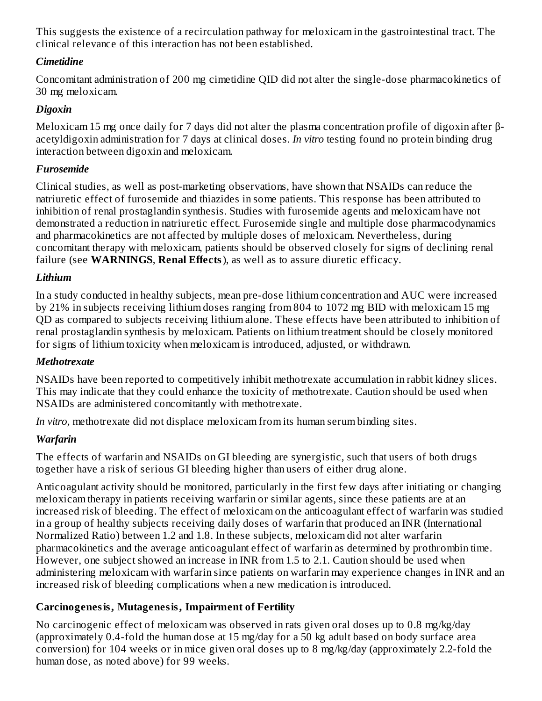This suggests the existence of a recirculation pathway for meloxicam in the gastrointestinal tract. The clinical relevance of this interaction has not been established.  $\frac{1}{2}$ 

#### *Cimetidine*

Concomitant administration of 200 mg cimetidine QID did not alter the single-dose pharmacokinetics of 30 mg meloxicam.

### *Digoxin*

Meloxicam 15 mg once daily for 7 days did not alter the plasma concentration profile of digoxin after βacetyldigoxin administration for 7 days at clinical doses. *In vitro* testing found no protein binding drug interaction between digoxin and meloxicam.

### *Furosemide*

Clinical studies, as well as post-marketing observations, have shown that NSAIDs can reduce the natriuretic effect of furosemide and thiazides in some patients. This response has been attributed to inhibition of renal prostaglandin synthesis. Studies with furosemide agents and meloxicam have not demonstrated a reduction in natriuretic effect. Furosemide single and multiple dose pharmacodynamics and pharmacokinetics are not affected by multiple doses of meloxicam. Nevertheless, during concomitant therapy with meloxicam, patients should be observed closely for signs of declining renal failure (see **WARNINGS**, **Renal Effects**), as well as to assure diuretic efficacy.

#### *Lithium*

In a study conducted in healthy subjects, mean pre-dose lithium concentration and AUC were increased by 21% in subjects receiving lithium doses ranging from 804 to 1072 mg BID with meloxicam 15 mg QD as compared to subjects receiving lithium alone. These effects have been attributed to inhibition of renal prostaglandin synthesis by meloxicam. Patients on lithium treatment should be closely monitored for signs of lithium toxicity when meloxicam is introduced, adjusted, or withdrawn.

#### *Methotrexate*

NSAIDs have been reported to competitively inhibit methotrexate accumulation in rabbit kidney slices. This may indicate that they could enhance the toxicity of methotrexate. Caution should be used when NSAIDs are administered concomitantly with methotrexate.

*In vitro*, methotrexate did not displace meloxicam from its human serum binding sites.

### *Warfarin*

The effects of warfarin and NSAIDs on GI bleeding are synergistic, such that users of both drugs together have a risk of serious GI bleeding higher than users of either drug alone.

Anticoagulant activity should be monitored, particularly in the first few days after initiating or changing meloxicam therapy in patients receiving warfarin or similar agents, since these patients are at an increased risk of bleeding. The effect of meloxicam on the anticoagulant effect of warfarin was studied in a group of healthy subjects receiving daily doses of warfarin that produced an INR (International Normalized Ratio) between 1.2 and 1.8. In these subjects, meloxicam did not alter warfarin pharmacokinetics and the average anticoagulant effect of warfarin as determined by prothrombin time. However, one subject showed an increase in INR from 1.5 to 2.1. Caution should be used when administering meloxicam with warfarin since patients on warfarin may experience changes in INR and an increased risk of bleeding complications when a new medication is introduced.

### **Carcinogenesis, Mutagenesis, Impairment of Fertility**

No carcinogenic effect of meloxicam was observed in rats given oral doses up to 0.8 mg/kg/day (approximately 0.4-fold the human dose at 15 mg/day for a 50 kg adult based on body surface area conversion) for 104 weeks or in mice given oral doses up to 8 mg/kg/day (approximately 2.2-fold the human dose, as noted above) for 99 weeks.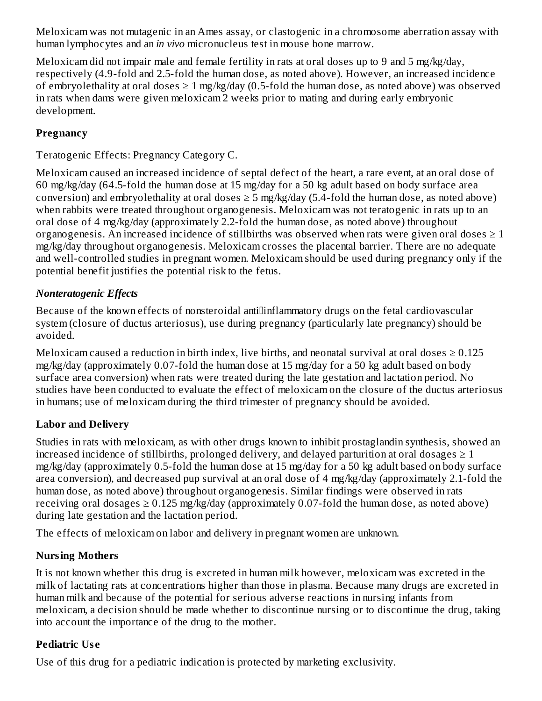Meloxicam was not mutagenic in an Ames assay, or clastogenic in a chromosome aberration assay with human lymphocytes and an *in vivo* micronucleus test in mouse bone marrow.

Meloxicam did not impair male and female fertility in rats at oral doses up to 9 and 5 mg/kg/day, respectively (4.9-fold and 2.5-fold the human dose, as noted above). However, an increased incidence of embryolethality at oral doses  $\geq 1$  mg/kg/day (0.5-fold the human dose, as noted above) was observed in rats when dams were given meloxicam 2 weeks prior to mating and during early embryonic development.

### **Pregnancy**

Teratogenic Effects: Pregnancy Category C.

Meloxicam caused an increased incidence of septal defect of the heart, a rare event, at an oral dose of 60 mg/kg/day (64.5-fold the human dose at 15 mg/day for a 50 kg adult based on body surface area conversion) and embryolethality at oral doses  $\geq$  5 mg/kg/day (5.4-fold the human dose, as noted above) when rabbits were treated throughout organogenesis. Meloxicam was not teratogenic in rats up to an oral dose of 4 mg/kg/day (approximately 2.2-fold the human dose, as noted above) throughout organogenesis. An increased incidence of stillbirths was observed when rats were given oral doses  $\geq 1$ mg/kg/day throughout organogenesis. Meloxicam crosses the placental barrier. There are no adequate and well-controlled studies in pregnant women. Meloxicam should be used during pregnancy only if the potential benefit justifies the potential risk to the fetus.

### *Nonteratogenic Effects*

Because of the known effects of nonsteroidal antillinflammatory drugs on the fetal cardiovascular system (closure of ductus arteriosus), use during pregnancy (particularly late pregnancy) should be avoided.

Meloxicam caused a reduction in birth index, live births, and neonatal survival at oral doses  $\geq 0.125$ mg/kg/day (approximately 0.07-fold the human dose at 15 mg/day for a 50 kg adult based on body surface area conversion) when rats were treated during the late gestation and lactation period. No studies have been conducted to evaluate the effect of meloxicam on the closure of the ductus arteriosus in humans; use of meloxicam during the third trimester of pregnancy should be avoided.

### **Labor and Delivery**

Studies in rats with meloxicam, as with other drugs known to inhibit prostaglandin synthesis, showed an increased incidence of stillbirths, prolonged delivery, and delayed parturition at oral dosages  $\geq 1$ mg/kg/day (approximately 0.5-fold the human dose at 15 mg/day for a 50 kg adult based on body surface area conversion), and decreased pup survival at an oral dose of 4 mg/kg/day (approximately 2.1-fold the human dose, as noted above) throughout organogenesis. Similar findings were observed in rats receiving oral dosages  $\geq 0.125$  mg/kg/day (approximately 0.07-fold the human dose, as noted above) during late gestation and the lactation period.

The effects of meloxicam on labor and delivery in pregnant women are unknown.

# **Nursing Mothers**

It is not known whether this drug is excreted in human milk however, meloxicam was excreted in the milk of lactating rats at concentrations higher than those in plasma. Because many drugs are excreted in human milk and because of the potential for serious adverse reactions in nursing infants from meloxicam, a decision should be made whether to discontinue nursing or to discontinue the drug, taking into account the importance of the drug to the mother.

# **Pediatric Us e**

Use of this drug for a pediatric indication is protected by marketing exclusivity.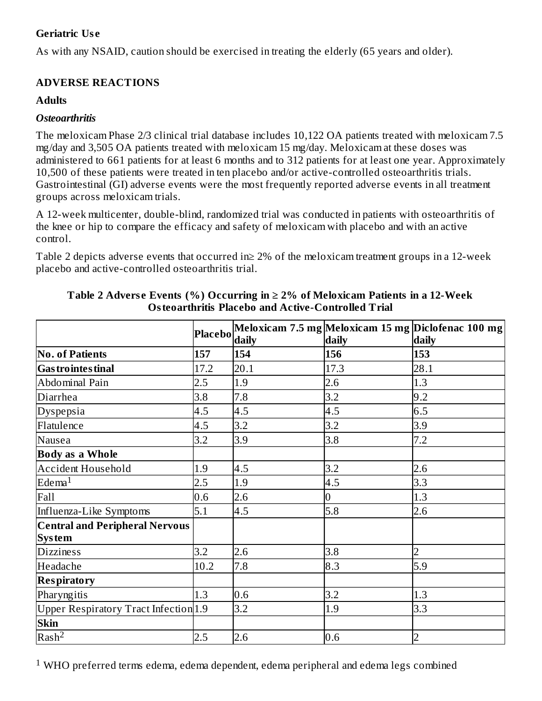#### **Geriatric Us e**

As with any NSAID, caution should be exercised in treating the elderly (65 years and older).

#### **ADVERSE REACTIONS**

#### **Adults**

#### *Osteoarthritis*

The meloxicam Phase 2/3 clinical trial database includes 10,122 OA patients treated with meloxicam 7.5 mg/day and 3,505 OA patients treated with meloxicam 15 mg/day. Meloxicam at these doses was administered to 661 patients for at least 6 months and to 312 patients for at least one year. Approximately 10,500 of these patients were treated in ten placebo and/or active-controlled osteoarthritis trials. Gastrointestinal (GI) adverse events were the most frequently reported adverse events in all treatment groups across meloxicam trials.

A 12-week multicenter, double-blind, randomized trial was conducted in patients with osteoarthritis of the knee or hip to compare the efficacy and safety of meloxicam with placebo and with an active control.

Table 2 depicts adverse events that occurred in≥ 2% of the meloxicam treatment groups in a 12-week placebo and active-controlled osteoarthritis trial.

|                                       | <b>Placebo</b> | daily | daily           | Meloxicam 7.5 mg Meloxicam 15 mg Diclofenac 100 mg<br>daily |
|---------------------------------------|----------------|-------|-----------------|-------------------------------------------------------------|
| <b>No. of Patients</b>                | 157            | 154   | 156             | 153                                                         |
| <b>Gas trointes tinal</b>             | 17.2           | 20.1  | 17.3            | 28.1                                                        |
| Abdominal Pain                        | 2.5            | 1.9   | 2.6             | 1.3                                                         |
| Diarrhea                              | 3.8            | 7.8   | 3.2             | 9.2                                                         |
| Dyspepsia                             | 4.5            | 4.5   | 4.5             | 6.5                                                         |
| Flatulence                            | 4.5            | 3.2   | 3.2             | 3.9                                                         |
| Nausea                                | 3.2            | 3.9   | 3.8             | 7.2                                                         |
| <b>Body as a Whole</b>                |                |       |                 |                                                             |
| <b>Accident Household</b>             | 1.9            | 4.5   | 3.2             | 2.6                                                         |
| Edema <sup>1</sup>                    | 2.5            | 1.9   | 4.5             | 3.3                                                         |
| Fall                                  | 0.6            | 2.6   | $\vert 0 \vert$ | 1.3                                                         |
| Influenza-Like Symptoms               | 5.1            | 4.5   | 5.8             | 2.6                                                         |
| <b>Central and Peripheral Nervous</b> |                |       |                 |                                                             |
| <b>System</b>                         |                |       |                 |                                                             |
| <b>Dizziness</b>                      | 3.2            | 2.6   | 3.8             | $\overline{2}$                                              |
| Headache                              | 10.2           | 7.8   | 8.3             | 5.9                                                         |
| <b>Respiratory</b>                    |                |       |                 |                                                             |
| Pharyngitis                           | 1.3            | 0.6   | 3.2             | 1.3                                                         |
| Upper Respiratory Tract Infection 1.9 |                | 3.2   | 1.9             | 3.3                                                         |
| <b>Skin</b>                           |                |       |                 |                                                             |
| Rash <sup>2</sup>                     | 2.5            | 2.6   | 0.6             | $\overline{2}$                                              |

| Table 2 Adverse Events (%) Occurring in $\geq 2\%$ of Meloxicam Patients in a 12-Week |
|---------------------------------------------------------------------------------------|
| <b>Osteoarthritis Placebo and Active-Controlled Trial</b>                             |

 $1$  WHO preferred terms edema, edema dependent, edema peripheral and edema legs combined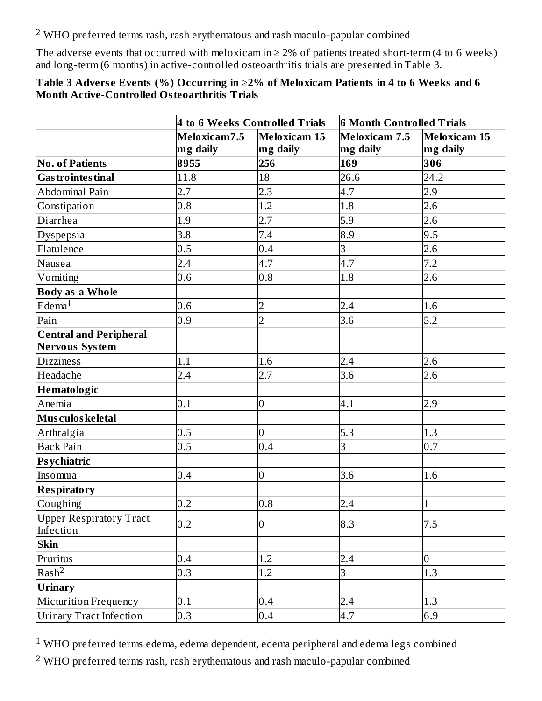$2$  WHO preferred terms rash, rash erythematous and rash maculo-papular combined

The adverse events that occurred with meloxicam in  $\geq$  2% of patients treated short-term (4 to 6 weeks) and long-term (6 months) in active-controlled osteoarthritis trials are presented in Table 3.

#### **Table 3 Advers e Events (%) Occurring in** ≥**2% of Meloxicam Patients in 4 to 6 Weeks and 6 Month Active-Controlled Osteoarthritis Trials**

|                                                 | 4 to 6 Weeks Controlled Trials |                                 | <b>6 Month Controlled Trials</b> |                          |  |
|-------------------------------------------------|--------------------------------|---------------------------------|----------------------------------|--------------------------|--|
|                                                 | Meloxicam7.5<br>mg daily       | <b>Meloxicam 15</b><br>mg daily | <b>Meloxicam 7.5</b><br>mg daily | Meloxicam 15<br>mg daily |  |
| <b>No. of Patients</b>                          | 8955                           | 256                             | 169                              | 306                      |  |
| <b>Gas trointes tinal</b>                       | 11.8                           | 18                              | 26.6                             | 24.2                     |  |
| Abdominal Pain                                  | 2.7                            | 2.3                             | 4.7                              | 2.9                      |  |
| Constipation                                    | 0.8                            | 1.2                             | 1.8                              | 2.6                      |  |
| Diarrhea                                        | 1.9                            | 2.7                             | 5.9                              | 2.6                      |  |
| Dyspepsia                                       | 3.8                            | 7.4                             | 8.9                              | 9.5                      |  |
| Flatulence                                      | 0.5                            | 0.4                             | 3                                | 2.6                      |  |
| Nausea                                          | 2.4                            | 4.7                             | 4.7                              | 7.2                      |  |
| Vomiting                                        | 0.6                            | 0.8                             | 1.8                              | 2.6                      |  |
| <b>Body as a Whole</b>                          |                                |                                 |                                  |                          |  |
| Edema <sup>1</sup>                              | 0.6                            | $\overline{2}$                  | 2.4                              | 1.6                      |  |
| Pain                                            | 0.9                            | $\overline{2}$                  | 3.6                              | 5.2                      |  |
| <b>Central and Peripheral</b><br>Nervous System |                                |                                 |                                  |                          |  |
| <b>Dizziness</b>                                | 1.1                            | 1.6                             | 2.4                              | 2.6                      |  |
| Headache                                        | 2.4                            | 2.7                             | 3.6                              | 2.6                      |  |
| Hematologic                                     |                                |                                 |                                  |                          |  |
| Anemia                                          | 0.1                            | $\overline{0}$                  | 4.1                              | 2.9                      |  |
| Mus culos keletal                               |                                |                                 |                                  |                          |  |
| Arthralgia                                      | 0.5                            | $\overline{0}$                  | 5.3                              | 1.3                      |  |
| <b>Back Pain</b>                                | 0.5                            | 0.4                             | 3                                | 0.7                      |  |
| Psychiatric                                     |                                |                                 |                                  |                          |  |
| Insomnia                                        | 0.4                            | $\overline{0}$                  | 3.6                              | 1.6                      |  |
| <b>Respiratory</b>                              |                                |                                 |                                  |                          |  |
| Coughing                                        | 0.2                            | 0.8                             | 2.4                              | $\overline{1}$           |  |
| <b>Upper Respiratory Tract</b><br>Infection     | 0.2                            | $\overline{0}$                  | 8.3                              | 7.5                      |  |
| <b>Skin</b>                                     |                                |                                 |                                  |                          |  |
| Pruritus                                        | 0.4                            | 1.2                             | 2.4                              | $\overline{0}$           |  |
| Rash <sup>2</sup>                               | 0.3                            | 1.2                             | 3                                | 1.3                      |  |
| <b>Urinary</b>                                  |                                |                                 |                                  |                          |  |
| Micturition Frequency                           | 0.1                            | 0.4                             | 2.4                              | 1.3                      |  |
| <b>Urinary Tract Infection</b>                  | 0.3                            | 0.4                             | 4.7                              | 6.9                      |  |

 $1$  WHO preferred terms edema, edema dependent, edema peripheral and edema legs combined

 $2$  WHO preferred terms rash, rash erythematous and rash maculo-papular combined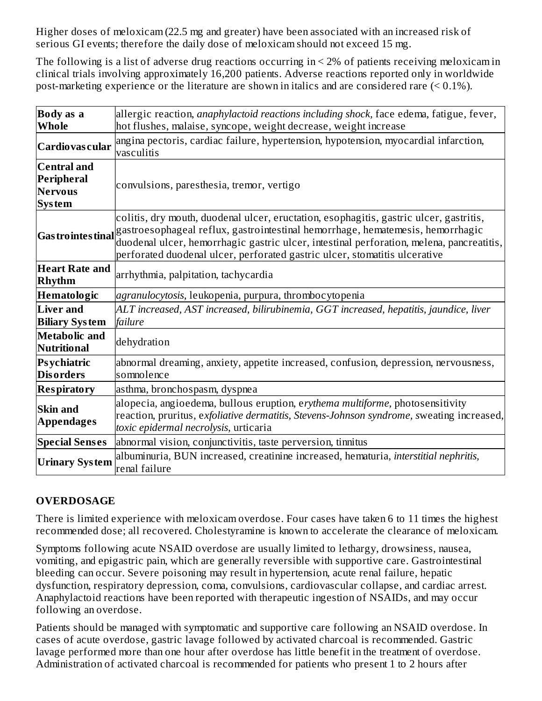Higher doses of meloxicam (22.5 mg and greater) have been associated with an increased risk of serious GI events; therefore the daily dose of meloxicam should not exceed 15 mg.

The following is a list of adverse drug reactions occurring in < 2% of patients receiving meloxicam in clinical trials involving approximately 16,200 patients. Adverse reactions reported only in worldwide post-marketing experience or the literature are shown in italics and are considered rare (< 0.1%).

| <b>Body</b> as a<br>Whole                                           | allergic reaction, anaphylactoid reactions including shock, face edema, fatigue, fever,<br>hot flushes, malaise, syncope, weight decrease, weight increase                                                                                                                                                                                         |
|---------------------------------------------------------------------|----------------------------------------------------------------------------------------------------------------------------------------------------------------------------------------------------------------------------------------------------------------------------------------------------------------------------------------------------|
| Cardiovas cular                                                     | angina pectoris, cardiac failure, hypertension, hypotension, myocardial infarction,<br>vasculitis                                                                                                                                                                                                                                                  |
| <b>Central and</b><br>Peripheral<br><b>Nervous</b><br><b>System</b> | convulsions, paresthesia, tremor, vertigo                                                                                                                                                                                                                                                                                                          |
| <b>Gas trointes tinal</b>                                           | colitis, dry mouth, duodenal ulcer, eructation, esophagitis, gastric ulcer, gastritis,<br>gastroesophageal reflux, gastrointestinal hemorrhage, hematemesis, hemorrhagic<br>duodenal ulcer, hemorrhagic gastric ulcer, intestinal perforation, melena, pancreatitis,<br>perforated duodenal ulcer, perforated gastric ulcer, stomatitis ulcerative |
| <b>Heart Rate and</b><br><b>Rhythm</b>                              | arrhythmia, palpitation, tachycardia                                                                                                                                                                                                                                                                                                               |
| Hematologic                                                         | agranulocytosis, leukopenia, purpura, thrombocytopenia                                                                                                                                                                                                                                                                                             |
| <b>Liver</b> and<br><b>Biliary System</b>                           | ALT increased, AST increased, bilirubinemia, GGT increased, hepatitis, jaundice, liver<br>failure                                                                                                                                                                                                                                                  |
| <b>Metabolic and</b><br>Nutritional                                 | dehydration                                                                                                                                                                                                                                                                                                                                        |
| Psychiatric<br><b>Disorders</b>                                     | abnormal dreaming, anxiety, appetite increased, confusion, depression, nervousness,<br>somnolence                                                                                                                                                                                                                                                  |
| <b>Respiratory</b>                                                  | asthma, bronchospasm, dyspnea                                                                                                                                                                                                                                                                                                                      |
| <b>Skin and</b><br><b>Appendages</b>                                | alopecia, angioedema, bullous eruption, erythema multiforme, photosensitivity<br>reaction, pruritus, exfoliative dermatitis, Stevens-Johnson syndrome, sweating increased,<br>toxic epidermal necrolysis, urticaria                                                                                                                                |
| <b>Special Senses</b>                                               | abnormal vision, conjunctivitis, taste perversion, tinnitus                                                                                                                                                                                                                                                                                        |
| <b>Urinary System</b>                                               | albuminuria, BUN increased, creatinine increased, hematuria, interstitial nephritis,<br>renal failure                                                                                                                                                                                                                                              |

### **OVERDOSAGE**

There is limited experience with meloxicam overdose. Four cases have taken 6 to 11 times the highest recommended dose; all recovered. Cholestyramine is known to accelerate the clearance of meloxicam.

Symptoms following acute NSAID overdose are usually limited to lethargy, drowsiness, nausea, vomiting, and epigastric pain, which are generally reversible with supportive care. Gastrointestinal bleeding can occur. Severe poisoning may result in hypertension, acute renal failure, hepatic dysfunction, respiratory depression, coma, convulsions, cardiovascular collapse, and cardiac arrest. Anaphylactoid reactions have been reported with therapeutic ingestion of NSAIDs, and may occur following an overdose.

Patients should be managed with symptomatic and supportive care following an NSAID overdose. In cases of acute overdose, gastric lavage followed by activated charcoal is recommended. Gastric lavage performed more than one hour after overdose has little benefit in the treatment of overdose. Administration of activated charcoal is recommended for patients who present 1 to 2 hours after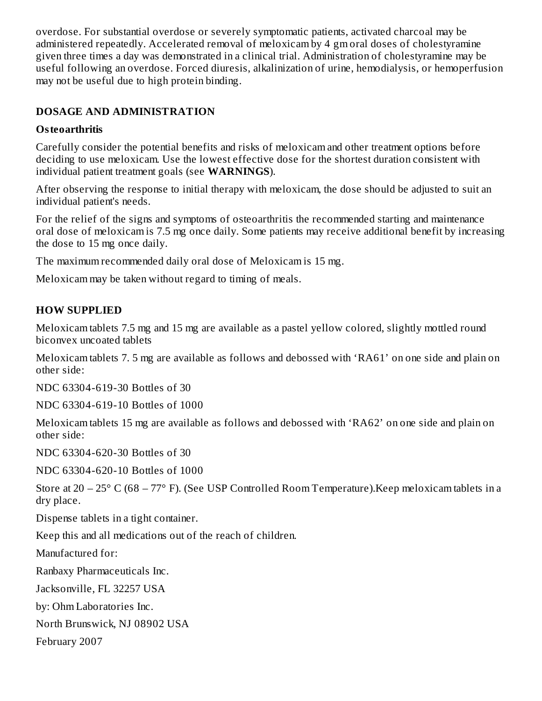overdose. For substantial overdose or severely symptomatic patients, activated charcoal may be administered repeatedly. Accelerated removal of meloxicam by 4 gm oral doses of cholestyramine given three times a day was demonstrated in a clinical trial. Administration of cholestyramine may be useful following an overdose. Forced diuresis, alkalinization of urine, hemodialysis, or hemoperfusion may not be useful due to high protein binding.

#### **DOSAGE AND ADMINISTRATION**

#### **Osteoarthritis**

Carefully consider the potential benefits and risks of meloxicam and other treatment options before deciding to use meloxicam. Use the lowest effective dose for the shortest duration consistent with individual patient treatment goals (see **WARNINGS**).

After observing the response to initial therapy with meloxicam, the dose should be adjusted to suit an individual patient's needs.

For the relief of the signs and symptoms of osteoarthritis the recommended starting and maintenance oral dose of meloxicam is 7.5 mg once daily. Some patients may receive additional benefit by increasing the dose to 15 mg once daily.

The maximum recommended daily oral dose of Meloxicam is 15 mg.

Meloxicam may be taken without regard to timing of meals.

### **HOW SUPPLIED**

Meloxicam tablets 7.5 mg and 15 mg are available as a pastel yellow colored, slightly mottled round biconvex uncoated tablets

Meloxicam tablets 7. 5 mg are available as follows and debossed with 'RA61' on one side and plain on other side:

NDC 63304-619-30 Bottles of 30

NDC 63304-619-10 Bottles of 1000

Meloxicam tablets 15 mg are available as follows and debossed with 'RA62' on one side and plain on other side:

NDC 63304-620-30 Bottles of 30

NDC 63304-620-10 Bottles of 1000

Store at 20 – 25° C (68 – 77° F). (See USP Controlled Room Temperature).Keep meloxicam tablets in a dry place.

Dispense tablets in a tight container.

Keep this and all medications out of the reach of children.

Manufactured for:

Ranbaxy Pharmaceuticals Inc.

Jacksonville, FL 32257 USA

by: Ohm Laboratories Inc.

North Brunswick, NJ 08902 USA

February 2007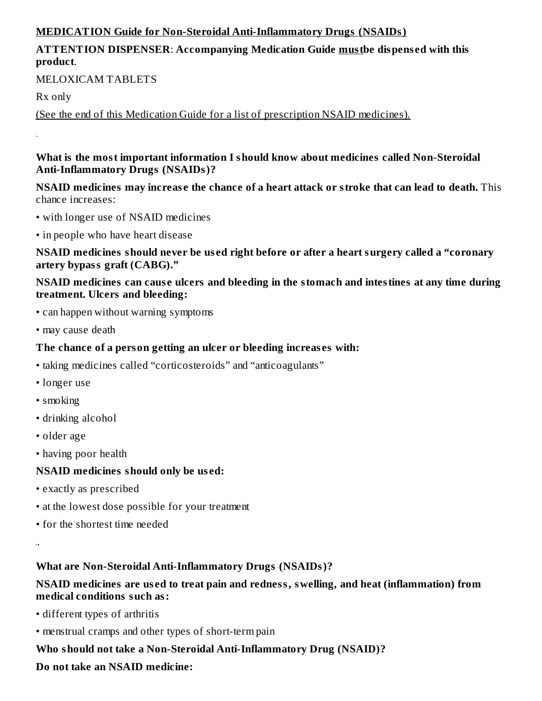### **MEDICATION Guide for Non-Steroidal Anti-Inflammatory Drugs (NSAIDs)**

#### **ATTENTION DISPENSER**: **Accompanying Medication Guide mustbe dispens ed with this product**.

MELOXICAM TABLETS

Rx only

(See the end of this Medication Guide for a list of prescription NSAID medicines).

**What is the most important information I should know about medicines called Non-Steroidal Anti-Inflammatory Drugs (NSAIDs)?**

**NSAID medicines may increas e the chance of a heart attack or stroke that can lead to death.** This chance increases:

- with longer use of NSAID medicines
- in people who have heart disease

**NSAID medicines should never be us ed right before or after a heart surgery called a "coronary artery bypass graft (CABG)."**

**NSAID medicines can caus e ulcers and bleeding in the stomach and intestines at any time during treatment. Ulcers and bleeding:**

- can happen without warning symptoms
- may cause death

### **The chance of a person getting an ulcer or bleeding increas es with:**

- taking medicines called "corticosteroids" and "anticoagulants"
- longer use
- smoking
- drinking alcohol
- older age
- having poor health

# **NSAID medicines should only be us ed:**

- exactly as prescribed
- at the lowest dose possible for your treatment
- for the shortest time needed
- 

### **What are Non-Steroidal Anti-Inflammatory Drugs (NSAIDs)?**

#### **NSAID medicines are us ed to treat pain and redness, swelling, and heat (inflammation) from medical conditions such as:**

- different types of arthritis
- menstrual cramps and other types of short-term pain

# **Who should not take a Non-Steroidal Anti-Inflammatory Drug (NSAID)?**

### **Do not take an NSAID medicine:**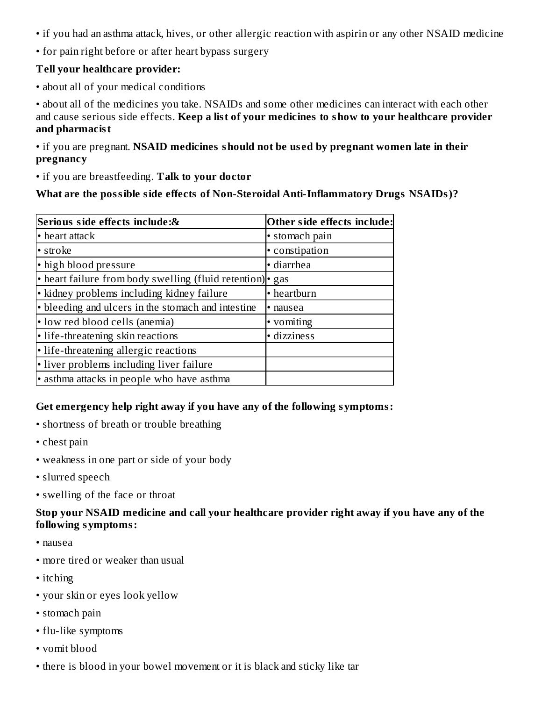- if you had an asthma attack, hives, or other allergic reaction with aspirin or any other NSAID medicine
- for pain right before or after heart bypass surgery

#### **Tell your healthcare provider:**

• about all of your medical conditions

• about all of the medicines you take. NSAIDs and some other medicines can interact with each other and cause serious side effects. **Keep a list of your medicines to show to your healthcare provider and pharmacist**

• if you are pregnant. **NSAID medicines should not be us ed by pregnant women late in their pregnancy**

• if you are breastfeeding. **Talk to your doctor**

#### **What are the possible side effects of Non-Steroidal Anti-Inflammatory Drugs NSAIDs)?**

| Serious side effects include:&                           | Other side effects include: |
|----------------------------------------------------------|-----------------------------|
| $\cdot$ heart attack                                     | • stomach pain              |
| $\cdot$ stroke                                           | • constipation              |
| • high blood pressure                                    | · diarrhea                  |
| • heart failure from body swelling (fluid retention) gas |                             |
| • kidney problems including kidney failure               | • heartburn                 |
| • bleeding and ulcers in the stomach and intestine       | • nausea                    |
| • low red blood cells (anemia)                           | • vomiting                  |
| ·life-threatening skin reactions                         | · dizziness                 |
| · life-threatening allergic reactions                    |                             |
| looplems including liver failure                         |                             |
| • asthma attacks in people who have asthma               |                             |

#### **Get emergency help right away if you have any of the following symptoms:**

- shortness of breath or trouble breathing
- chest pain
- weakness in one part or side of your body
- slurred speech
- swelling of the face or throat

#### **Stop your NSAID medicine and call your healthcare provider right away if you have any of the following symptoms:**

- nausea
- more tired or weaker than usual
- itching
- your skin or eyes look yellow
- stomach pain
- flu-like symptoms
- vomit blood
- there is blood in your bowel movement or it is black and sticky like tar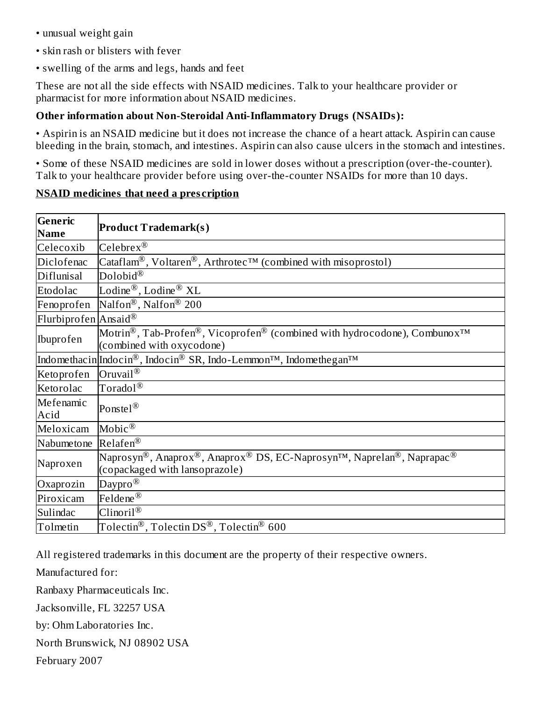- unusual weight gain
- skin rash or blisters with fever
- swelling of the arms and legs, hands and feet

These are not all the side effects with NSAID medicines. Talk to your healthcare provider or pharmacist for more information about NSAID medicines.

#### **Other information about Non-Steroidal Anti-Inflammatory Drugs (NSAIDs):**

• Aspirin is an NSAID medicine but it does not increase the chance of a heart attack. Aspirin can cause bleeding in the brain, stomach, and intestines. Aspirin can also cause ulcers in the stomach and intestines.

• Some of these NSAID medicines are sold in lower doses without a prescription (over-the-counter). Talk to your healthcare provider before using over-the-counter NSAIDs for more than 10 days.

#### **NSAID medicines that need a pres cription**

| Generic<br><b>Name</b>           | <b>Product Trademark(s)</b>                                                                                                                                                                      |
|----------------------------------|--------------------------------------------------------------------------------------------------------------------------------------------------------------------------------------------------|
| Celecoxib                        | Celebrex $^{\circledR}$                                                                                                                                                                          |
| Diclofenac                       | Cataflam <sup>®</sup> , Voltaren <sup>®</sup> , Arthrotec <sup>TM</sup> (combined with misoprostol)                                                                                              |
| Diflunisal                       | $Dolobid^{\circledR}$                                                                                                                                                                            |
| Etodolac                         | Lodine®, Lodine <sup>®</sup> XL                                                                                                                                                                  |
| Fenoprofen                       | Nalfon®, Nalfon® 200                                                                                                                                                                             |
| Flurbiprofen Ansaid <sup>®</sup> |                                                                                                                                                                                                  |
| Ibuprofen                        | Motrin <sup>®</sup> , Tab-Profen <sup>®</sup> , Vicoprofen <sup>®</sup> (combined with hydrocodone), Combunox <sup>™</sup><br>(combined with oxycodone)                                          |
|                                  | Indomethacin Indocin <sup>®</sup> , Indocin <sup>®</sup> SR, Indo-Lemmon <sup>TM</sup> , Indomethegan <sup>TM</sup>                                                                              |
| Ketoprofen                       | Oruvail <sup>®</sup>                                                                                                                                                                             |
| Ketorolac                        | $T$ oradol $^{\circledR}$                                                                                                                                                                        |
| Mefenamic<br>Acid                | Ponstel <sup>®</sup>                                                                                                                                                                             |
| Meloxicam                        | Mobic®                                                                                                                                                                                           |
| Nabumetone                       | Relafen <sup>®</sup>                                                                                                                                                                             |
| Naproxen                         | $N$ aprosyn $^{\circledR}$ , Anaprox $^{\circledR}$ , Anaprox $^{\circledR}$ DS, EC-Naprosyn <sup>TM</sup> , Naprelan $^{\circledR}$ , Naprapac $^{\circledR}$<br>(copackaged with lansoprazole) |
| Oxaprozin                        | Daypro <sup>®</sup>                                                                                                                                                                              |
| Piroxicam                        | Feldene <sup>®</sup>                                                                                                                                                                             |
| Sulindac                         | $Clinoril^{\circledR}$                                                                                                                                                                           |
| Tolmetin                         | $\mathop{\rm Tolectin}\nolimits^\circledR$ , $\mathop{\rm Tolectin}\nolimits\mathop{\rm DS}\nolimits^\circledR$ , $\mathop{\rm Tolectin}\nolimits^\circledR$ $600$                               |

All registered trademarks in this document are the property of their respective owners.

Manufactured for:

Ranbaxy Pharmaceuticals Inc.

Jacksonville, FL 32257 USA

by: Ohm Laboratories Inc.

North Brunswick, NJ 08902 USA

February 2007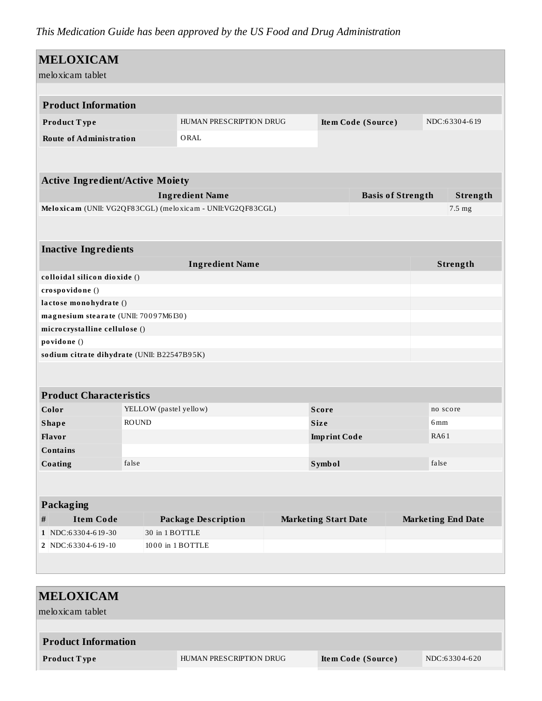# *This Medication Guide has been approved by the US Food and Drug Administration*

| <b>MELOXICAM</b>                            |                        |                                                            |                             |                          |                 |                           |
|---------------------------------------------|------------------------|------------------------------------------------------------|-----------------------------|--------------------------|-----------------|---------------------------|
| meloxicam tablet                            |                        |                                                            |                             |                          |                 |                           |
|                                             |                        |                                                            |                             |                          |                 |                           |
| <b>Product Information</b>                  |                        |                                                            |                             |                          |                 |                           |
| Product Type                                |                        | HUMAN PRESCRIPTION DRUG                                    |                             | Item Code (Source)       |                 | NDC:63304-619             |
| <b>Route of Administration</b>              |                        | ORAL                                                       |                             |                          |                 |                           |
|                                             |                        |                                                            |                             |                          |                 |                           |
|                                             |                        |                                                            |                             |                          |                 |                           |
| <b>Active Ingredient/Active Moiety</b>      |                        |                                                            |                             |                          |                 |                           |
|                                             |                        | <b>Ingredient Name</b>                                     |                             | <b>Basis of Strength</b> |                 | Strength                  |
|                                             |                        | Meloxicam (UNII: VG2QF83CGL) (meloxicam - UNII:VG2QF83CGL) |                             |                          |                 | 7.5 mg                    |
|                                             |                        |                                                            |                             |                          |                 |                           |
|                                             |                        |                                                            |                             |                          |                 |                           |
| <b>Inactive Ingredients</b>                 |                        |                                                            |                             |                          |                 |                           |
|                                             |                        | <b>Ingredient Name</b>                                     |                             |                          |                 | Strength                  |
| colloidal silicon dioxide ()                |                        |                                                            |                             |                          |                 |                           |
| crospovidone ()                             |                        |                                                            |                             |                          |                 |                           |
| lactose monohydrate ()                      |                        |                                                            |                             |                          |                 |                           |
| magnesium stearate (UNII: 70097M6I30)       |                        |                                                            |                             |                          |                 |                           |
| microcrystalline cellulose ()               |                        |                                                            |                             |                          |                 |                           |
| povidone ()                                 |                        |                                                            |                             |                          |                 |                           |
| sodium citrate dihydrate (UNII: B22547B95K) |                        |                                                            |                             |                          |                 |                           |
|                                             |                        |                                                            |                             |                          |                 |                           |
|                                             |                        |                                                            |                             |                          |                 |                           |
| <b>Product Characteristics</b>              |                        |                                                            |                             |                          |                 |                           |
| Color                                       | YELLOW (pastel yellow) |                                                            | <b>Score</b>                |                          |                 | no score                  |
| <b>Shape</b>                                | <b>ROUND</b>           |                                                            | Size                        |                          | 6 <sub>mm</sub> |                           |
| Flavor                                      |                        |                                                            | <b>Imprint Code</b>         |                          | <b>RA61</b>     |                           |
| <b>Contains</b>                             |                        |                                                            |                             |                          | false           |                           |
| Coating                                     | false                  |                                                            | <b>Symbol</b>               |                          |                 |                           |
|                                             |                        |                                                            |                             |                          |                 |                           |
|                                             |                        |                                                            |                             |                          |                 |                           |
| <b>Packaging</b>                            |                        |                                                            |                             |                          |                 |                           |
| <b>Item Code</b><br>#                       |                        | <b>Package Description</b>                                 | <b>Marketing Start Date</b> |                          |                 | <b>Marketing End Date</b> |
| 1 NDC:63304-619-30<br>2 NDC:63304-619-10    | 30 in 1 BOTTLE         | 1000 in 1 BOTTLE                                           |                             |                          |                 |                           |
|                                             |                        |                                                            |                             |                          |                 |                           |
|                                             |                        |                                                            |                             |                          |                 |                           |
|                                             |                        |                                                            |                             |                          |                 |                           |
| <b>MELOXICAM</b>                            |                        |                                                            |                             |                          |                 |                           |
| meloxicam tablet                            |                        |                                                            |                             |                          |                 |                           |
|                                             |                        |                                                            |                             |                          |                 |                           |

| <b>Product Information</b> |                         |                    |               |
|----------------------------|-------------------------|--------------------|---------------|
| <b>Product Type</b>        | HUMAN PRESCRIPTION DRUG | Item Code (Source) | NDC:63304-620 |